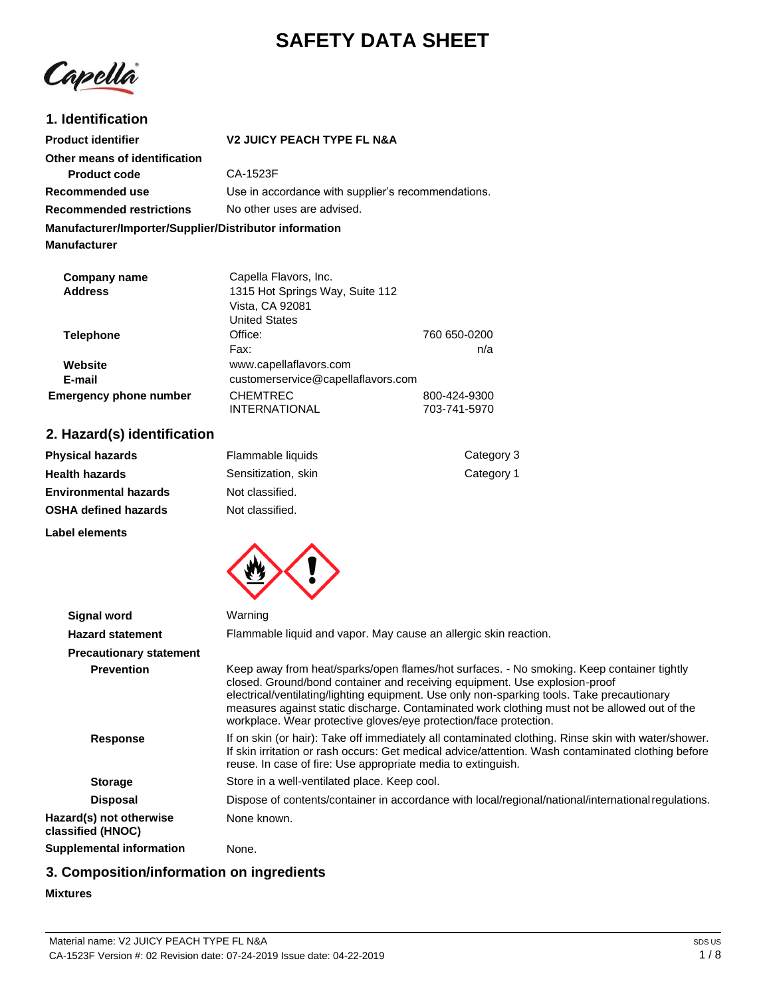# **SAFETY DATA SHEET**

Capella

## **1. Identification**

| <b>Product identifier</b>                                                     | <b>V2 JUICY PEACH TYPE FL N&amp;A</b>              |  |
|-------------------------------------------------------------------------------|----------------------------------------------------|--|
| Other means of identification                                                 |                                                    |  |
| <b>Product code</b>                                                           | CA-1523F                                           |  |
| Recommended use                                                               | Use in accordance with supplier's recommendations. |  |
| No other uses are advised.<br><b>Recommended restrictions</b>                 |                                                    |  |
| Manufacturer/Importer/Supplier/Distributor information<br><b>Manufacturer</b> |                                                    |  |
| Company name                                                                  | Capella Flavors, Inc.                              |  |
| <b>Address</b>                                                                | 1315 Hot Springs Way, Suite 112<br>Vista_CA_92081  |  |

|                               | Vista, CA 92081<br><b>United States</b> |              |
|-------------------------------|-----------------------------------------|--------------|
|                               |                                         |              |
| Telephone                     | Office:                                 | 760 650-0200 |
|                               | Fax:                                    | n/a          |
| Website                       | www.capellaflavors.com                  |              |
| E-mail                        | customerservice@capellaflavors.com      |              |
| <b>Emergency phone number</b> | <b>CHEMTREC</b>                         | 800-424-9300 |
|                               | <b>INTERNATIONAL</b>                    | 703-741-5970 |

## **2. Hazard(s) identification**

**Label elements**

| <b>Physical hazards</b>      | Flammable liquids   | Category 3 |
|------------------------------|---------------------|------------|
| <b>Health hazards</b>        | Sensitization, skin | Category 1 |
| <b>Environmental hazards</b> | Not classified.     |            |
| <b>OSHA defined hazards</b>  | Not classified.     |            |
|                              |                     |            |



| <b>Signal word</b>                           | Warning                                                                                                                                                                                                                                                                                                                                                                                                                                    |
|----------------------------------------------|--------------------------------------------------------------------------------------------------------------------------------------------------------------------------------------------------------------------------------------------------------------------------------------------------------------------------------------------------------------------------------------------------------------------------------------------|
| <b>Hazard statement</b>                      | Flammable liquid and vapor. May cause an allergic skin reaction.                                                                                                                                                                                                                                                                                                                                                                           |
| <b>Precautionary statement</b>               |                                                                                                                                                                                                                                                                                                                                                                                                                                            |
| <b>Prevention</b>                            | Keep away from heat/sparks/open flames/hot surfaces. - No smoking. Keep container tightly<br>closed. Ground/bond container and receiving equipment. Use explosion-proof<br>electrical/ventilating/lighting equipment. Use only non-sparking tools. Take precautionary<br>measures against static discharge. Contaminated work clothing must not be allowed out of the<br>workplace. Wear protective gloves/eye protection/face protection. |
| <b>Response</b>                              | If on skin (or hair): Take off immediately all contaminated clothing. Rinse skin with water/shower.<br>If skin irritation or rash occurs: Get medical advice/attention. Wash contaminated clothing before<br>reuse. In case of fire: Use appropriate media to extinguish.                                                                                                                                                                  |
| <b>Storage</b>                               | Store in a well-ventilated place. Keep cool.                                                                                                                                                                                                                                                                                                                                                                                               |
| <b>Disposal</b>                              | Dispose of contents/container in accordance with local/regional/national/international regulations.                                                                                                                                                                                                                                                                                                                                        |
| Hazard(s) not otherwise<br>classified (HNOC) | None known.                                                                                                                                                                                                                                                                                                                                                                                                                                |
| Supplemental information                     | None.                                                                                                                                                                                                                                                                                                                                                                                                                                      |

## **3. Composition/information on ingredients**

#### **Mixtures**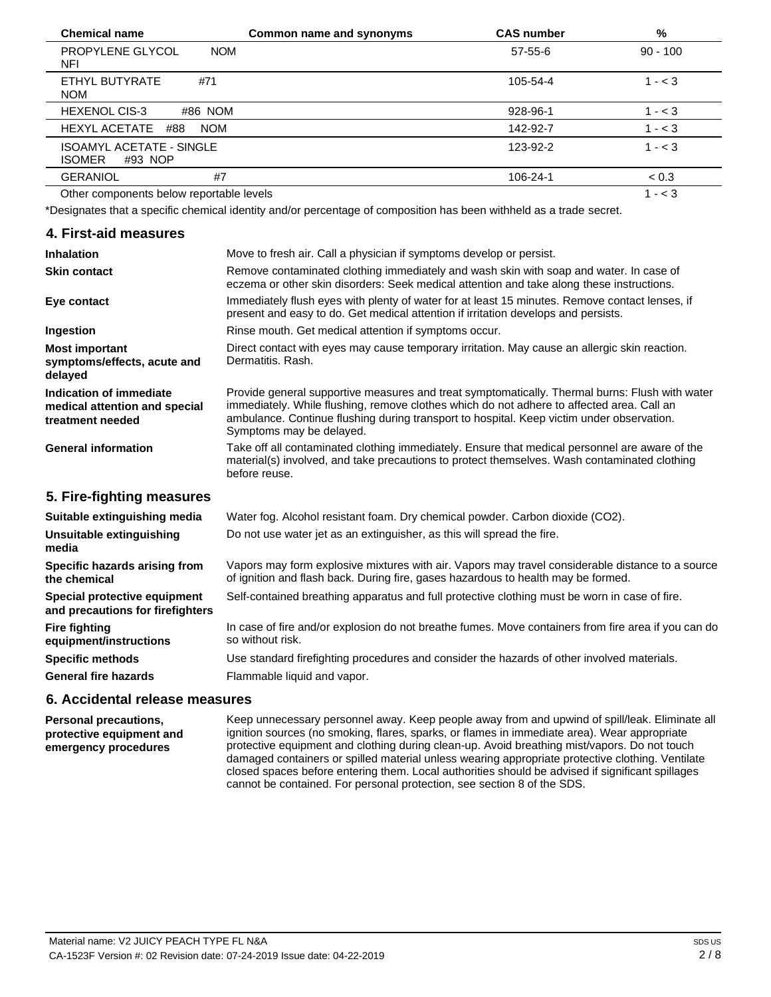| <b>Chemical name</b>                                        | Common name and synonyms | <b>CAS number</b> | %          |
|-------------------------------------------------------------|--------------------------|-------------------|------------|
| PROPYLENE GLYCOL<br><b>NOM</b><br>NFI                       |                          | 57-55-6           | $90 - 100$ |
| ETHYL BUTYRATE<br>#71<br><b>NOM</b>                         |                          | 105-54-4          | $1 - < 3$  |
| #86 NOM<br><b>HEXENOL CIS-3</b>                             |                          | 928-96-1          | $1 - < 3$  |
| <b>HEXYL ACETATE</b><br><b>NOM</b><br>#88                   |                          | 142-92-7          | $1 - < 3$  |
| <b>ISOAMYL ACETATE - SINGLE</b><br><b>ISOMER</b><br>#93 NOP |                          | 123-92-2          | $1 - < 3$  |
| <b>GERANIOL</b><br>#7                                       |                          | 106-24-1          | ~< 0.3     |
| Other components below reportable levels                    |                          |                   | $1 - < 3$  |

\*Designates that a specific chemical identity and/or percentage of composition has been withheld as a trade secret.

#### **4. First-aid measures**

| <b>Inhalation</b>                                                            | Move to fresh air. Call a physician if symptoms develop or persist.                                                                                                                                                                                                                                                  |
|------------------------------------------------------------------------------|----------------------------------------------------------------------------------------------------------------------------------------------------------------------------------------------------------------------------------------------------------------------------------------------------------------------|
| <b>Skin contact</b>                                                          | Remove contaminated clothing immediately and wash skin with soap and water. In case of<br>eczema or other skin disorders: Seek medical attention and take along these instructions.                                                                                                                                  |
| Eye contact                                                                  | Immediately flush eyes with plenty of water for at least 15 minutes. Remove contact lenses, if<br>present and easy to do. Get medical attention if irritation develops and persists.                                                                                                                                 |
| Ingestion                                                                    | Rinse mouth. Get medical attention if symptoms occur.                                                                                                                                                                                                                                                                |
| <b>Most important</b><br>symptoms/effects, acute and<br>delayed              | Direct contact with eyes may cause temporary irritation. May cause an allergic skin reaction.<br>Dermatitis, Rash.                                                                                                                                                                                                   |
| Indication of immediate<br>medical attention and special<br>treatment needed | Provide general supportive measures and treat symptomatically. Thermal burns: Flush with water<br>immediately. While flushing, remove clothes which do not adhere to affected area. Call an<br>ambulance. Continue flushing during transport to hospital. Keep victim under observation.<br>Symptoms may be delayed. |
| <b>General information</b>                                                   | Take off all contaminated clothing immediately. Ensure that medical personnel are aware of the<br>material(s) involved, and take precautions to protect themselves. Wash contaminated clothing<br>before reuse.                                                                                                      |
| 5. Fire-fighting measures                                                    |                                                                                                                                                                                                                                                                                                                      |
| Suitable extinguishing media                                                 | Water fog. Alcohol resistant foam. Dry chemical powder. Carbon dioxide (CO2).                                                                                                                                                                                                                                        |
| Unsuitable extinguishing<br>media                                            | Do not use water jet as an extinguisher, as this will spread the fire.                                                                                                                                                                                                                                               |
| Specific hazards arising from<br>the chemical                                | Vapors may form explosive mixtures with air. Vapors may travel considerable distance to a source<br>of ignition and flash back. During fire, gases hazardous to health may be formed.                                                                                                                                |
| Special protective equipment<br>and precautions for firefighters             | Self-contained breathing apparatus and full protective clothing must be worn in case of fire.                                                                                                                                                                                                                        |
| <b>Fire fighting</b><br>equipment/instructions                               | In case of fire and/or explosion do not breathe fumes. Move containers from fire area if you can do<br>so without risk.                                                                                                                                                                                              |

#### **Specific methods**

**General fire hazards**

so without risk. Use standard firefighting procedures and consider the hazards of other involved materials. Flammable liquid and vapor.

#### **6. Accidental release measures**

**Personal precautions, protective equipment and emergency procedures** Keep unnecessary personnel away. Keep people away from and upwind of spill/leak. Eliminate all ignition sources (no smoking, flares, sparks, or flames in immediate area). Wear appropriate protective equipment and clothing during clean-up. Avoid breathing mist/vapors. Do not touch damaged containers or spilled material unless wearing appropriate protective clothing. Ventilate closed spaces before entering them. Local authorities should be advised if significant spillages cannot be contained. For personal protection, see section 8 of the SDS.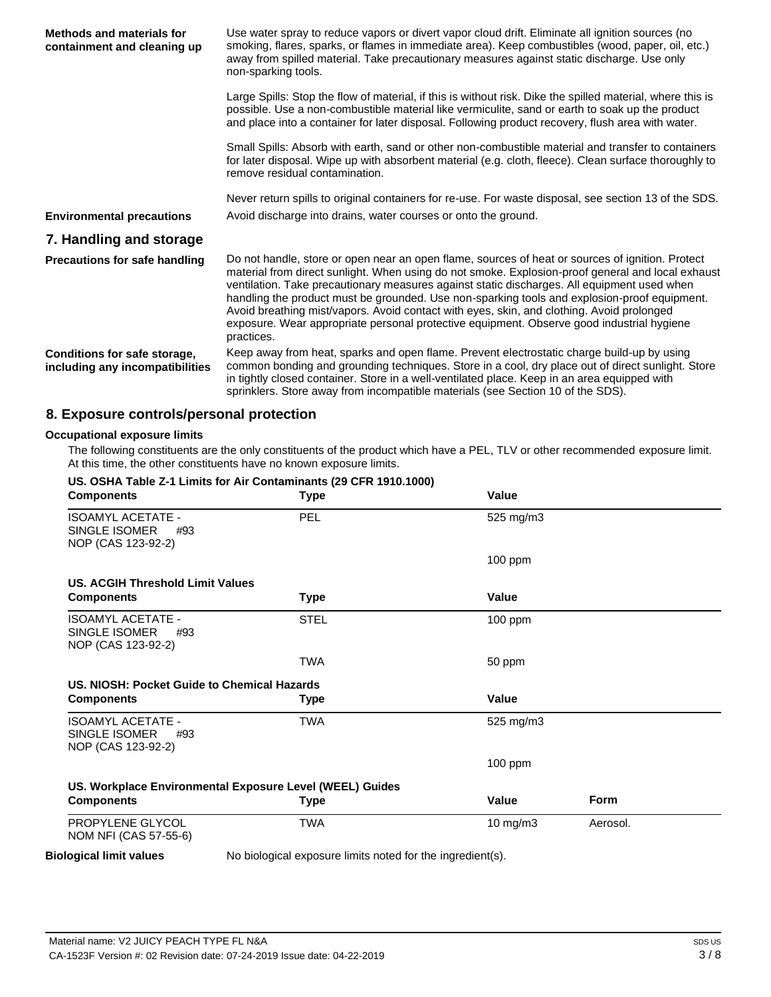| Methods and materials for<br>containment and cleaning up        | Use water spray to reduce vapors or divert vapor cloud drift. Eliminate all ignition sources (no<br>smoking, flares, sparks, or flames in immediate area). Keep combustibles (wood, paper, oil, etc.)<br>away from spilled material. Take precautionary measures against static discharge. Use only<br>non-sparking tools.                                                                                                                                                                                                                                                                                   |
|-----------------------------------------------------------------|--------------------------------------------------------------------------------------------------------------------------------------------------------------------------------------------------------------------------------------------------------------------------------------------------------------------------------------------------------------------------------------------------------------------------------------------------------------------------------------------------------------------------------------------------------------------------------------------------------------|
|                                                                 | Large Spills: Stop the flow of material, if this is without risk. Dike the spilled material, where this is<br>possible. Use a non-combustible material like vermiculite, sand or earth to soak up the product<br>and place into a container for later disposal. Following product recovery, flush area with water.                                                                                                                                                                                                                                                                                           |
|                                                                 | Small Spills: Absorb with earth, sand or other non-combustible material and transfer to containers<br>for later disposal. Wipe up with absorbent material (e.g. cloth, fleece). Clean surface thoroughly to<br>remove residual contamination.                                                                                                                                                                                                                                                                                                                                                                |
|                                                                 | Never return spills to original containers for re-use. For waste disposal, see section 13 of the SDS.                                                                                                                                                                                                                                                                                                                                                                                                                                                                                                        |
| <b>Environmental precautions</b>                                | Avoid discharge into drains, water courses or onto the ground.                                                                                                                                                                                                                                                                                                                                                                                                                                                                                                                                               |
| 7. Handling and storage                                         |                                                                                                                                                                                                                                                                                                                                                                                                                                                                                                                                                                                                              |
| <b>Precautions for safe handling</b>                            | Do not handle, store or open near an open flame, sources of heat or sources of ignition. Protect<br>material from direct sunlight. When using do not smoke. Explosion-proof general and local exhaust<br>ventilation. Take precautionary measures against static discharges. All equipment used when<br>handling the product must be grounded. Use non-sparking tools and explosion-proof equipment.<br>Avoid breathing mist/vapors. Avoid contact with eyes, skin, and clothing. Avoid prolonged<br>exposure. Wear appropriate personal protective equipment. Observe good industrial hygiene<br>practices. |
| Conditions for safe storage,<br>including any incompatibilities | Keep away from heat, sparks and open flame. Prevent electrostatic charge build-up by using<br>common bonding and grounding techniques. Store in a cool, dry place out of direct sunlight. Store<br>in tightly closed container. Store in a well-ventilated place. Keep in an area equipped with<br>sprinklers. Store away from incompatible materials (see Section 10 of the SDS).                                                                                                                                                                                                                           |

## **8. Exposure controls/personal protection**

#### **Occupational exposure limits**

The following constituents are the only constituents of the product which have a PEL, TLV or other recommended exposure limit. At this time, the other constituents have no known exposure limits.

| <b>Components</b>                                                      | <b>Type</b> | Value     |             |
|------------------------------------------------------------------------|-------------|-----------|-------------|
| <b>ISOAMYL ACETATE -</b><br>SINGLE ISOMER<br>#93<br>NOP (CAS 123-92-2) | <b>PEL</b>  | 525 mg/m3 |             |
|                                                                        |             | 100 ppm   |             |
| US. ACGIH Threshold Limit Values                                       |             |           |             |
| <b>Components</b>                                                      | <b>Type</b> | Value     |             |
| <b>ISOAMYL ACETATE -</b><br>SINGLE ISOMER<br>#93<br>NOP (CAS 123-92-2) | <b>STEL</b> | $100$ ppm |             |
|                                                                        | <b>TWA</b>  | 50 ppm    |             |
| US. NIOSH: Pocket Guide to Chemical Hazards                            |             |           |             |
| <b>Components</b>                                                      | <b>Type</b> | Value     |             |
| ISOAMYL ACETATE -<br>SINGLE ISOMER<br>#93                              | <b>TWA</b>  | 525 mg/m3 |             |
| NOP (CAS 123-92-2)                                                     |             |           |             |
|                                                                        |             | $100$ ppm |             |
| US. Workplace Environmental Exposure Level (WEEL) Guides               |             |           |             |
| <b>Components</b>                                                      | <b>Type</b> | Value     | <b>Form</b> |
| PROPYLENE GLYCOL<br>NOM NFI (CAS 57-55-6)                              | <b>TWA</b>  | 10 mg/m3  | Aerosol.    |

 $\overline{\phantom{a}}$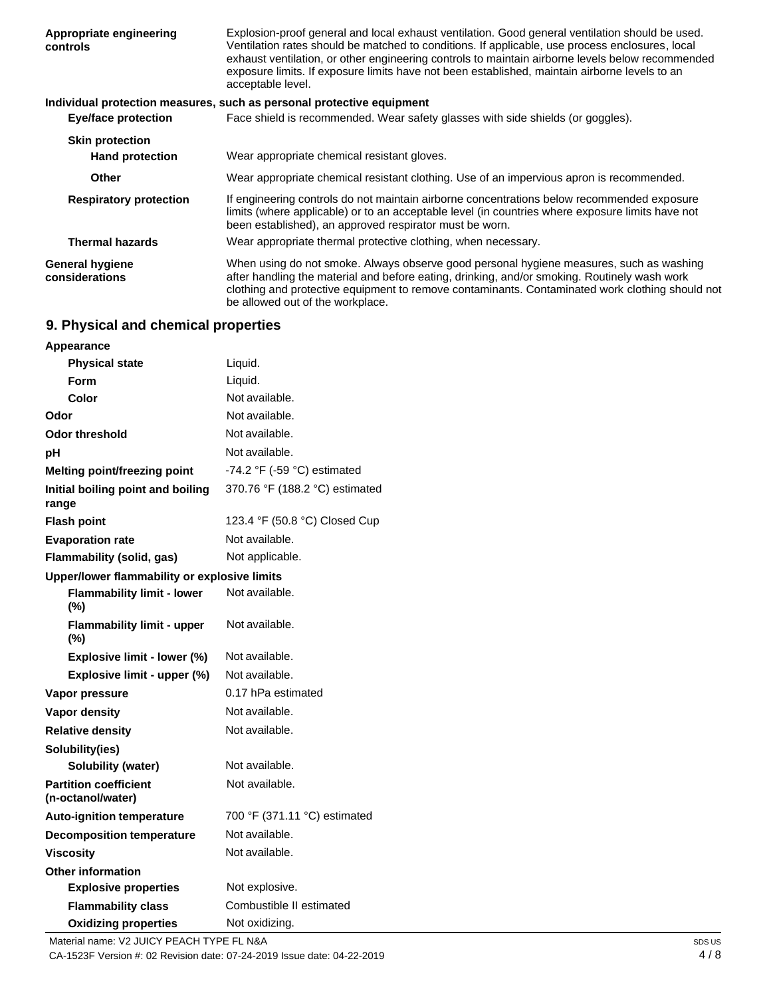| Appropriate engineering<br>controls      | Explosion-proof general and local exhaust ventilation. Good general ventilation should be used.<br>Ventilation rates should be matched to conditions. If applicable, use process enclosures, local<br>exhaust ventilation, or other engineering controls to maintain airborne levels below recommended<br>exposure limits. If exposure limits have not been established, maintain airborne levels to an<br>acceptable level. |
|------------------------------------------|------------------------------------------------------------------------------------------------------------------------------------------------------------------------------------------------------------------------------------------------------------------------------------------------------------------------------------------------------------------------------------------------------------------------------|
|                                          | Individual protection measures, such as personal protective equipment                                                                                                                                                                                                                                                                                                                                                        |
| <b>Eye/face protection</b>               | Face shield is recommended. Wear safety glasses with side shields (or goggles).                                                                                                                                                                                                                                                                                                                                              |
| <b>Skin protection</b>                   |                                                                                                                                                                                                                                                                                                                                                                                                                              |
| <b>Hand protection</b>                   | Wear appropriate chemical resistant gloves.                                                                                                                                                                                                                                                                                                                                                                                  |
| <b>Other</b>                             | Wear appropriate chemical resistant clothing. Use of an impervious apron is recommended.                                                                                                                                                                                                                                                                                                                                     |
| <b>Respiratory protection</b>            | If engineering controls do not maintain airborne concentrations below recommended exposure<br>limits (where applicable) or to an acceptable level (in countries where exposure limits have not<br>been established), an approved respirator must be worn.                                                                                                                                                                    |
| <b>Thermal hazards</b>                   | Wear appropriate thermal protective clothing, when necessary.                                                                                                                                                                                                                                                                                                                                                                |
| <b>General hygiene</b><br>considerations | When using do not smoke. Always observe good personal hygiene measures, such as washing<br>after handling the material and before eating, drinking, and/or smoking. Routinely wash work<br>clothing and protective equipment to remove contaminants. Contaminated work clothing should not<br>be allowed out of the workplace.                                                                                               |

## **9. Physical and chemical properties**

| <b>Appearance</b>                                 |                                |
|---------------------------------------------------|--------------------------------|
| <b>Physical state</b>                             | Liquid.                        |
| <b>Form</b>                                       | Liquid.                        |
| Color                                             | Not available.                 |
| Odor                                              | Not available.                 |
| Odor threshold                                    | Not available.                 |
| рH                                                | Not available.                 |
| <b>Melting point/freezing point</b>               | -74.2 °F (-59 °C) estimated    |
| Initial boiling point and boiling<br>range        | 370.76 °F (188.2 °C) estimated |
| <b>Flash point</b>                                | 123.4 °F (50.8 °C) Closed Cup  |
| <b>Evaporation rate</b>                           | Not available.                 |
| Flammability (solid, gas)                         | Not applicable.                |
| Upper/lower flammability or explosive limits      |                                |
| <b>Flammability limit - lower</b><br>$(\% )$      | Not available.                 |
| <b>Flammability limit - upper</b><br>$(\%)$       | Not available.                 |
| Explosive limit - lower (%)                       | Not available.                 |
| Explosive limit - upper (%)                       | Not available.                 |
| Vapor pressure                                    | 0.17 hPa estimated             |
| <b>Vapor density</b>                              | Not available.                 |
| <b>Relative density</b>                           | Not available.                 |
| Solubility(ies)                                   |                                |
| Solubility (water)                                | Not available.                 |
| <b>Partition coefficient</b><br>(n-octanol/water) | Not available.                 |
| <b>Auto-ignition temperature</b>                  | 700 °F (371.11 °C) estimated   |
| <b>Decomposition temperature</b>                  | Not available.                 |
| Viscosity                                         | Not available.                 |
| <b>Other information</b>                          |                                |
| <b>Explosive properties</b>                       | Not explosive.                 |
| <b>Flammability class</b>                         | Combustible II estimated       |
| <b>Oxidizing properties</b>                       | Not oxidizing.                 |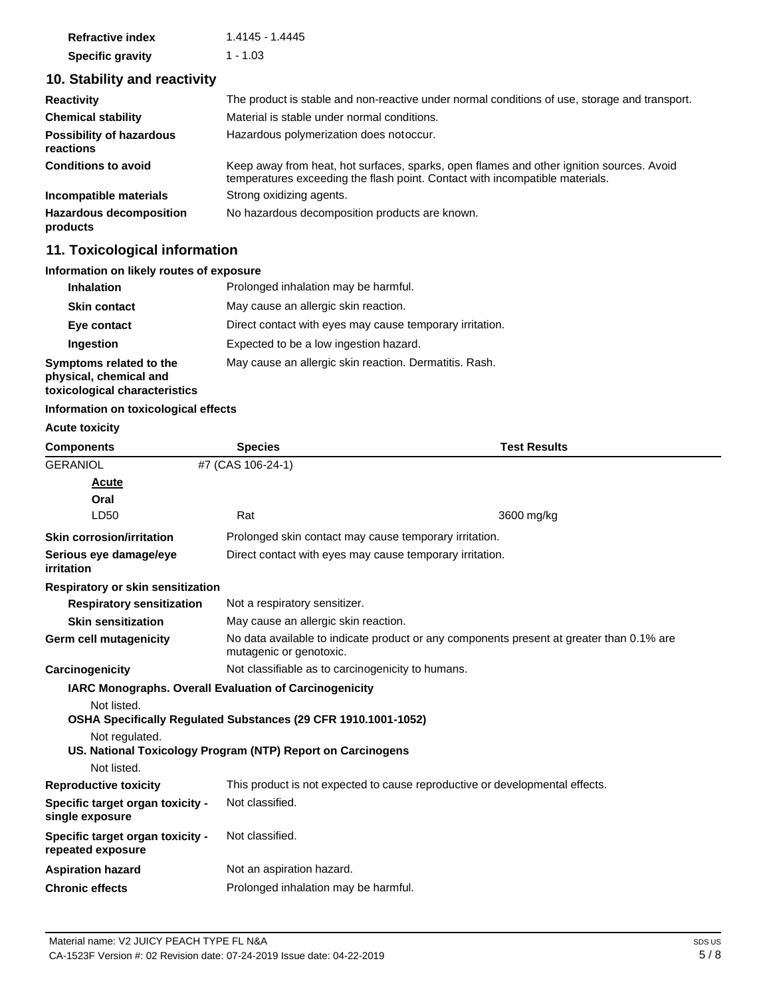| <b>Refractive index</b> | 1.4145 - 1.4445 |
|-------------------------|-----------------|
| <b>Specific gravity</b> | 1 - 1.03        |

## **10. Stability and reactivity**

| <b>Reactivity</b>                            | The product is stable and non-reactive under normal conditions of use, storage and transport.                                                                            |
|----------------------------------------------|--------------------------------------------------------------------------------------------------------------------------------------------------------------------------|
| <b>Chemical stability</b>                    | Material is stable under normal conditions.                                                                                                                              |
| <b>Possibility of hazardous</b><br>reactions | Hazardous polymerization does notoccur.                                                                                                                                  |
| <b>Conditions to avoid</b>                   | Keep away from heat, hot surfaces, sparks, open flames and other ignition sources. Avoid<br>temperatures exceeding the flash point. Contact with incompatible materials. |
| Incompatible materials                       | Strong oxidizing agents.                                                                                                                                                 |
| <b>Hazardous decomposition</b><br>products   | No hazardous decomposition products are known.                                                                                                                           |

## **11. Toxicological information**

#### **Information on likely routes of exposure**

| <b>Inhalation</b>                                                                  | Prolonged inhalation may be harmful.                     |
|------------------------------------------------------------------------------------|----------------------------------------------------------|
| <b>Skin contact</b>                                                                | May cause an allergic skin reaction.                     |
| Eye contact                                                                        | Direct contact with eyes may cause temporary irritation. |
| Ingestion                                                                          | Expected to be a low ingestion hazard.                   |
| Symptoms related to the<br>physical, chemical and<br>toxicological characteristics | May cause an allergic skin reaction. Dermatitis. Rash.   |

#### **Information on toxicological effects**

#### **Acute toxicity**

| <b>Components</b>                                     | <b>Species</b>                                                                                                      | <b>Test Results</b>                                                          |  |  |
|-------------------------------------------------------|---------------------------------------------------------------------------------------------------------------------|------------------------------------------------------------------------------|--|--|
| <b>GERANIOL</b>                                       | #7 (CAS 106-24-1)                                                                                                   |                                                                              |  |  |
| <b>Acute</b>                                          |                                                                                                                     |                                                                              |  |  |
| Oral                                                  |                                                                                                                     |                                                                              |  |  |
| LD50                                                  | Rat                                                                                                                 | 3600 mg/kg                                                                   |  |  |
| <b>Skin corrosion/irritation</b>                      | Prolonged skin contact may cause temporary irritation.                                                              |                                                                              |  |  |
| Serious eye damage/eye<br>irritation                  | Direct contact with eyes may cause temporary irritation.                                                            |                                                                              |  |  |
| <b>Respiratory or skin sensitization</b>              |                                                                                                                     |                                                                              |  |  |
| <b>Respiratory sensitization</b>                      | Not a respiratory sensitizer.                                                                                       |                                                                              |  |  |
| <b>Skin sensitization</b>                             | May cause an allergic skin reaction.                                                                                |                                                                              |  |  |
| <b>Germ cell mutagenicity</b>                         | No data available to indicate product or any components present at greater than 0.1% are<br>mutagenic or genotoxic. |                                                                              |  |  |
| Carcinogenicity                                       |                                                                                                                     | Not classifiable as to carcinogenicity to humans.                            |  |  |
|                                                       | <b>IARC Monographs. Overall Evaluation of Carcinogenicity</b>                                                       |                                                                              |  |  |
| Not listed.                                           |                                                                                                                     |                                                                              |  |  |
|                                                       | OSHA Specifically Regulated Substances (29 CFR 1910.1001-1052)                                                      |                                                                              |  |  |
| Not regulated.                                        |                                                                                                                     |                                                                              |  |  |
| Not listed.                                           | US. National Toxicology Program (NTP) Report on Carcinogens                                                         |                                                                              |  |  |
| <b>Reproductive toxicity</b>                          |                                                                                                                     | This product is not expected to cause reproductive or developmental effects. |  |  |
| Specific target organ toxicity -                      | Not classified.                                                                                                     |                                                                              |  |  |
| single exposure                                       |                                                                                                                     |                                                                              |  |  |
| Specific target organ toxicity -<br>repeated exposure | Not classified.                                                                                                     |                                                                              |  |  |
| <b>Aspiration hazard</b>                              | Not an aspiration hazard.                                                                                           |                                                                              |  |  |
| <b>Chronic effects</b>                                | Prolonged inhalation may be harmful.                                                                                |                                                                              |  |  |
|                                                       |                                                                                                                     |                                                                              |  |  |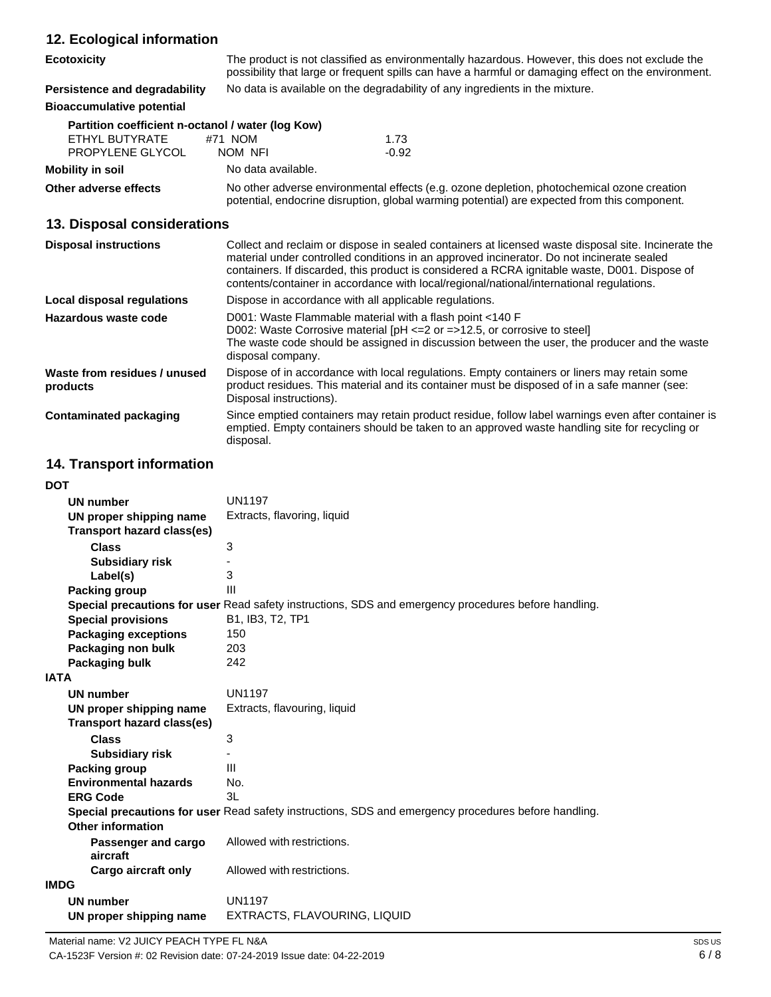| 12. Ecological information                                                              |                                                                                                                                                                                                                                                                                                                                                                                               |  |
|-----------------------------------------------------------------------------------------|-----------------------------------------------------------------------------------------------------------------------------------------------------------------------------------------------------------------------------------------------------------------------------------------------------------------------------------------------------------------------------------------------|--|
| <b>Ecotoxicity</b>                                                                      | The product is not classified as environmentally hazardous. However, this does not exclude the<br>possibility that large or frequent spills can have a harmful or damaging effect on the environment.                                                                                                                                                                                         |  |
| Persistence and degradability                                                           | No data is available on the degradability of any ingredients in the mixture.                                                                                                                                                                                                                                                                                                                  |  |
| <b>Bioaccumulative potential</b>                                                        |                                                                                                                                                                                                                                                                                                                                                                                               |  |
| Partition coefficient n-octanol / water (log Kow)<br>FTHYL BUTYRATE<br>PROPYLENE GLYCOL | #71 NOM<br>1.73<br>NOM NFI<br>$-0.92$                                                                                                                                                                                                                                                                                                                                                         |  |
| <b>Mobility in soil</b>                                                                 | No data available.                                                                                                                                                                                                                                                                                                                                                                            |  |
| Other adverse effects                                                                   | No other adverse environmental effects (e.g. ozone depletion, photochemical ozone creation<br>potential, endocrine disruption, global warming potential) are expected from this component.                                                                                                                                                                                                    |  |
| 13. Disposal considerations                                                             |                                                                                                                                                                                                                                                                                                                                                                                               |  |
| <b>Disposal instructions</b>                                                            | Collect and reclaim or dispose in sealed containers at licensed waste disposal site. Incinerate the<br>material under controlled conditions in an approved incinerator. Do not incinerate sealed<br>containers. If discarded, this product is considered a RCRA ignitable waste, D001. Dispose of<br>contents/container in accordance with local/regional/national/international regulations. |  |
| Local disposal regulations                                                              | Dispose in accordance with all applicable regulations.                                                                                                                                                                                                                                                                                                                                        |  |
| Hazardous waste code                                                                    | D001: Waste Flammable material with a flash point <140 F<br>D002: Waste Corrosive material $[PH \le 2$ or $= >12.5$ , or corrosive to steel<br>The waste code should be assigned in discussion between the user, the producer and the waste<br>disposal company.                                                                                                                              |  |
| Waste from residues / unused<br>products                                                | Dispose of in accordance with local regulations. Empty containers or liners may retain some<br>product residues. This material and its container must be disposed of in a safe manner (see:<br>Disposal instructions).                                                                                                                                                                        |  |

**Contaminated packaging** Since emptied containers may retain product residue, follow label warnings even after container is emptied. Empty containers should be taken to an approved waste handling site for recycling or disposal.

## **14. Transport information**

#### **DOT**

| וש                                |                                                                                                      |
|-----------------------------------|------------------------------------------------------------------------------------------------------|
| <b>UN number</b>                  | <b>UN1197</b>                                                                                        |
| UN proper shipping name           | Extracts, flavoring, liquid                                                                          |
| <b>Transport hazard class(es)</b> |                                                                                                      |
| <b>Class</b>                      | 3                                                                                                    |
| <b>Subsidiary risk</b>            |                                                                                                      |
| Label(s)                          | 3                                                                                                    |
| <b>Packing group</b>              | III                                                                                                  |
|                                   | Special precautions for user Read safety instructions, SDS and emergency procedures before handling. |
| <b>Special provisions</b>         | B1, IB3, T2, TP1                                                                                     |
| <b>Packaging exceptions</b>       | 150                                                                                                  |
| Packaging non bulk                | 203                                                                                                  |
| Packaging bulk                    | 242                                                                                                  |
| <b>IATA</b>                       |                                                                                                      |
| <b>UN number</b>                  | <b>UN1197</b>                                                                                        |
| UN proper shipping name           | Extracts, flavouring, liquid                                                                         |
| Transport hazard class(es)        |                                                                                                      |
| <b>Class</b>                      | 3                                                                                                    |
| <b>Subsidiary risk</b>            |                                                                                                      |
| Packing group                     | Ш                                                                                                    |
| <b>Environmental hazards</b>      | No.                                                                                                  |
| <b>ERG Code</b>                   | 31                                                                                                   |
|                                   | Special precautions for user Read safety instructions, SDS and emergency procedures before handling. |
| <b>Other information</b>          |                                                                                                      |
| Passenger and cargo               | Allowed with restrictions.                                                                           |
| aircraft                          |                                                                                                      |
| Cargo aircraft only               | Allowed with restrictions.                                                                           |
| IMDG                              |                                                                                                      |
| <b>UN number</b>                  | <b>UN1197</b>                                                                                        |
| UN proper shipping name           | EXTRACTS, FLAVOURING, LIQUID                                                                         |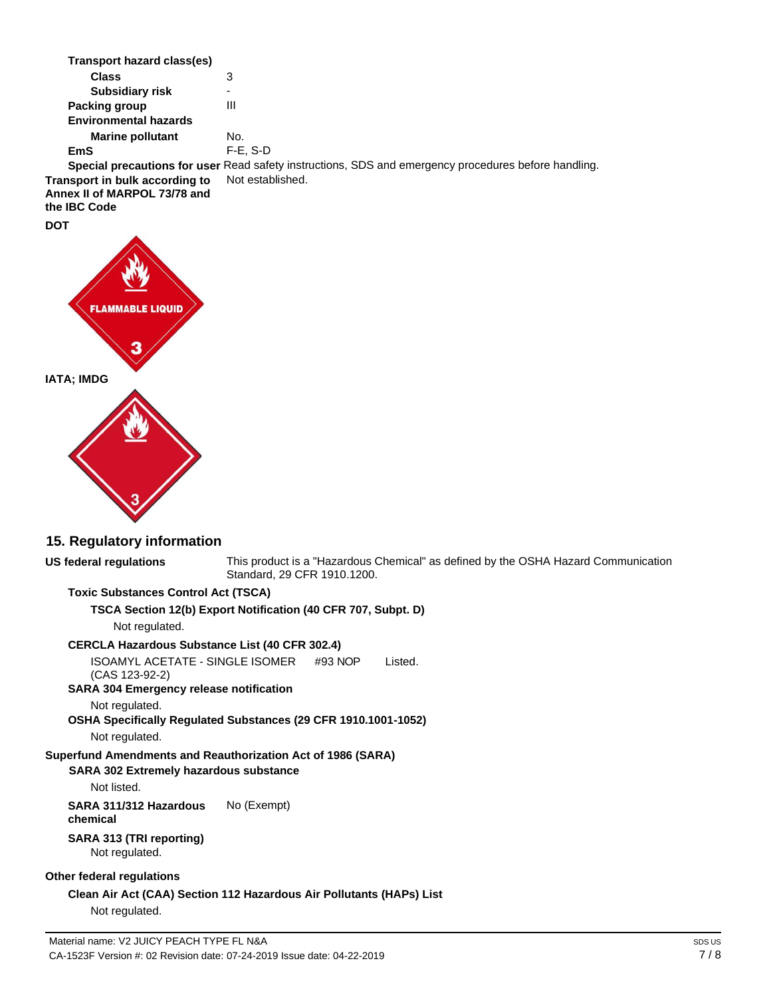| Transport hazard class(es)                                                     |                                                                                                             |
|--------------------------------------------------------------------------------|-------------------------------------------------------------------------------------------------------------|
| <b>Class</b>                                                                   | 3                                                                                                           |
| <b>Subsidiary risk</b>                                                         | ۰                                                                                                           |
| Packing group                                                                  | Ш                                                                                                           |
| <b>Environmental hazards</b>                                                   |                                                                                                             |
| <b>Marine pollutant</b>                                                        | No.                                                                                                         |
| EmS                                                                            | $F-E$ , S-D                                                                                                 |
|                                                                                | <b>Special precautions for user</b> Read safety instructions, SDS and emergency procedures before handling. |
| Transport in bulk according to<br>Annex II of MARPOL 73/78 and<br>the IBC Code | Not established.                                                                                            |
| <b>DOT</b>                                                                     |                                                                                                             |
|                                                                                |                                                                                                             |



### **15. Regulatory information**

## **US federal regulations**

This product is a "Hazardous Chemical" as defined by the OSHA Hazard Communication Standard, 29 CFR 1910.1200.

#### **Toxic Substances Control Act (TSCA)**

**TSCA Section 12(b) Export Notification (40 CFR 707, Subpt. D)**

Not regulated.

#### **CERCLA Hazardous Substance List (40 CFR 302.4)**

ISOAMYL ACETATE - SINGLE ISOMER #93 NOP (CAS 123-92-2) Listed.

#### **SARA 304 Emergency release notification**

Not regulated.

**OSHA Specifically Regulated Substances (29 CFR 1910.1001-1052)**

Not regulated.

#### **Superfund Amendments and Reauthorization Act of 1986 (SARA)**

#### **SARA 302 Extremely hazardous substance**

Not listed.

**SARA 311/312 Hazardous chemical** No (Exempt)

#### **SARA 313 (TRI reporting)** Not regulated.

#### **Other federal regulations**

**Clean Air Act (CAA) Section 112 Hazardous Air Pollutants (HAPs) List** Not regulated.